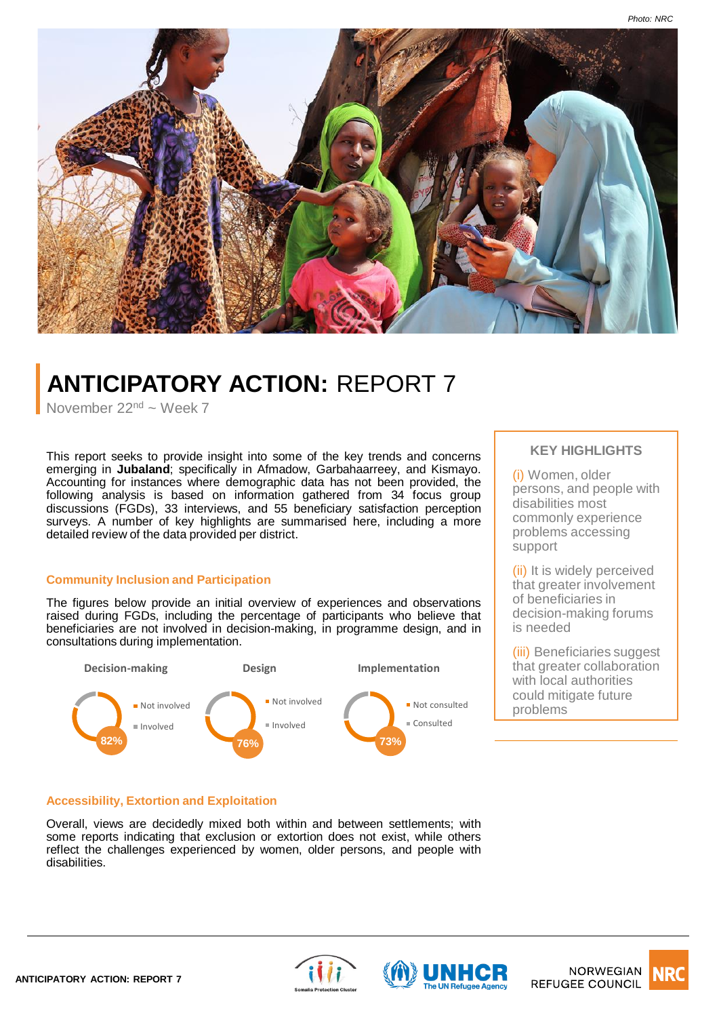

# **ANTICIPATORY ACTION:** REPORT 7

November 22<sup>nd</sup> ~ Week 7

This report seeks to provide insight into some of the key trends and concerns emerging in **Jubaland**; specifically in Afmadow, Garbahaarreey, and Kismayo. Accounting for instances where demographic data has not been provided, the following analysis is based on information gathered from 34 focus group discussions (FGDs), 33 interviews, and 55 beneficiary satisfaction perception surveys. A number of key highlights are summarised here, including a more detailed review of the data provided per district.

## **Community Inclusion and Participation**

The figures below provide an initial overview of experiences and observations raised during FGDs, including the percentage of participants who believe that beneficiaries are not involved in decision-making, in programme design, and in consultations during implementation.



## **KEY HIGHLIGHTS**

(i) Women, older persons, and people with disabilities most commonly experience problems accessing support

(ii) It is widely perceived that greater involvement of beneficiaries in decision-making forums is needed

(iii) Beneficiaries suggest that greater collaboration with local authorities could mitigate future problems

## **Accessibility, Extortion and Exploitation**

Overall, views are decidedly mixed both within and between settlements; with some reports indicating that exclusion or extortion does not exist, while others reflect the challenges experienced by women, older persons, and people with disabilities.